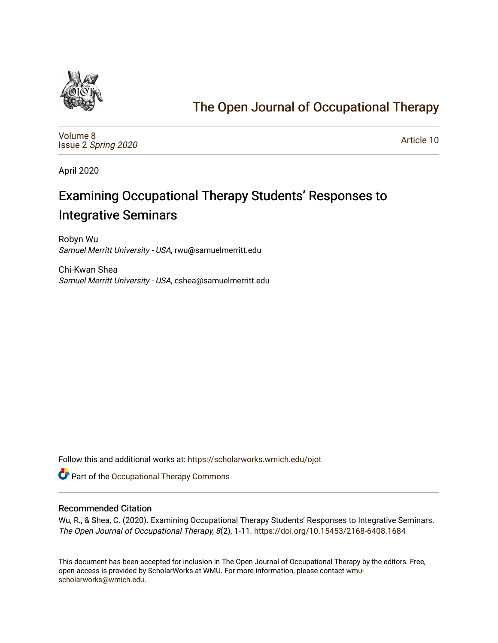

## [The Open Journal of Occupational Therapy](https://scholarworks.wmich.edu/ojot)

[Volume 8](https://scholarworks.wmich.edu/ojot/vol8) Issue 2 [Spring 2020](https://scholarworks.wmich.edu/ojot/vol8/iss2) 

[Article 10](https://scholarworks.wmich.edu/ojot/vol8/iss2/10) 

April 2020

# Examining Occupational Therapy Students' Responses to Integrative Seminars

Robyn Wu Samuel Merritt University - USA, rwu@samuelmerritt.edu

Chi-Kwan Shea Samuel Merritt University - USA, cshea@samuelmerritt.edu

Follow this and additional works at: [https://scholarworks.wmich.edu/ojot](https://scholarworks.wmich.edu/ojot?utm_source=scholarworks.wmich.edu%2Fojot%2Fvol8%2Fiss2%2F10&utm_medium=PDF&utm_campaign=PDFCoverPages)

Part of the [Occupational Therapy Commons](http://network.bepress.com/hgg/discipline/752?utm_source=scholarworks.wmich.edu%2Fojot%2Fvol8%2Fiss2%2F10&utm_medium=PDF&utm_campaign=PDFCoverPages) 

#### Recommended Citation

Wu, R., & Shea, C. (2020). Examining Occupational Therapy Students' Responses to Integrative Seminars. The Open Journal of Occupational Therapy, 8(2), 1-11. <https://doi.org/10.15453/2168-6408.1684>

This document has been accepted for inclusion in The Open Journal of Occupational Therapy by the editors. Free, open access is provided by ScholarWorks at WMU. For more information, please contact [wmu](mailto:wmu-scholarworks@wmich.edu)[scholarworks@wmich.edu.](mailto:wmu-scholarworks@wmich.edu)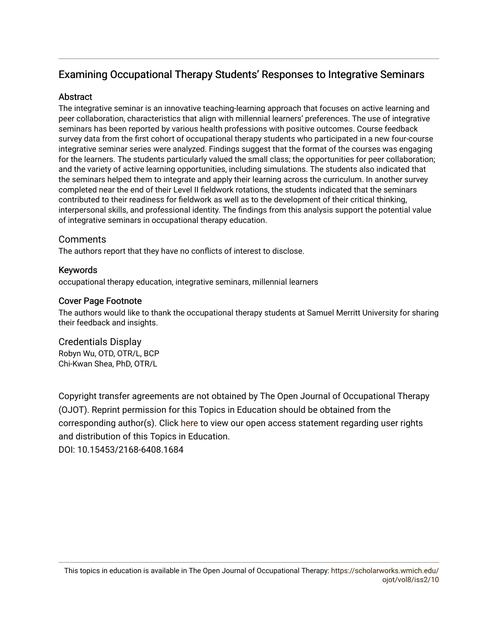## Examining Occupational Therapy Students' Responses to Integrative Seminars

## **Abstract**

The integrative seminar is an innovative teaching-learning approach that focuses on active learning and peer collaboration, characteristics that align with millennial learners' preferences. The use of integrative seminars has been reported by various health professions with positive outcomes. Course feedback survey data from the first cohort of occupational therapy students who participated in a new four-course integrative seminar series were analyzed. Findings suggest that the format of the courses was engaging for the learners. The students particularly valued the small class; the opportunities for peer collaboration; and the variety of active learning opportunities, including simulations. The students also indicated that the seminars helped them to integrate and apply their learning across the curriculum. In another survey completed near the end of their Level II fieldwork rotations, the students indicated that the seminars contributed to their readiness for fieldwork as well as to the development of their critical thinking, interpersonal skills, and professional identity. The findings from this analysis support the potential value of integrative seminars in occupational therapy education.

## Comments

The authors report that they have no conflicts of interest to disclose.

## Keywords

occupational therapy education, integrative seminars, millennial learners

## Cover Page Footnote

The authors would like to thank the occupational therapy students at Samuel Merritt University for sharing their feedback and insights.

Credentials Display Robyn Wu, OTD, OTR/L, BCP Chi-Kwan Shea, PhD, OTR/L

Copyright transfer agreements are not obtained by The Open Journal of Occupational Therapy (OJOT). Reprint permission for this Topics in Education should be obtained from the corresponding author(s). Click [here](https://scholarworks.wmich.edu/ojot/policies.html#rights) to view our open access statement regarding user rights and distribution of this Topics in Education.

DOI: 10.15453/2168-6408.1684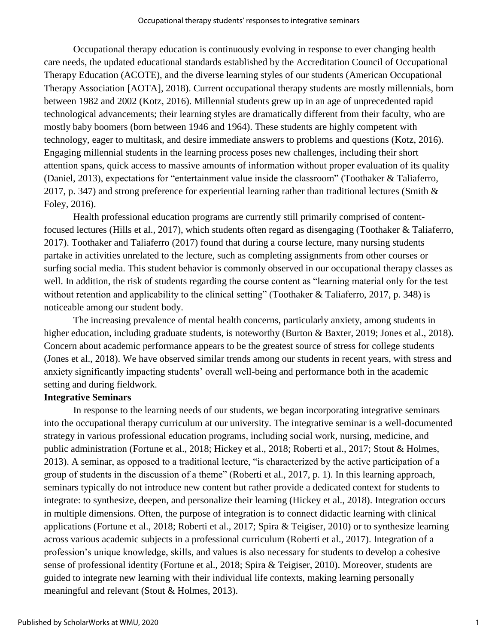Occupational therapy education is continuously evolving in response to ever changing health care needs, the updated educational standards established by the Accreditation Council of Occupational Therapy Education (ACOTE), and the diverse learning styles of our students (American Occupational Therapy Association [AOTA], 2018). Current occupational therapy students are mostly millennials, born between 1982 and 2002 (Kotz, 2016). Millennial students grew up in an age of unprecedented rapid technological advancements; their learning styles are dramatically different from their faculty, who are mostly baby boomers (born between 1946 and 1964). These students are highly competent with technology, eager to multitask, and desire immediate answers to problems and questions (Kotz, 2016). Engaging millennial students in the learning process poses new challenges, including their short attention spans, quick access to massive amounts of information without proper evaluation of its quality (Daniel, 2013), expectations for "entertainment value inside the classroom" (Toothaker & Taliaferro, 2017, p. 347) and strong preference for experiential learning rather than traditional lectures (Smith & Foley, 2016).

Health professional education programs are currently still primarily comprised of contentfocused lectures (Hills et al., 2017), which students often regard as disengaging (Toothaker & Taliaferro, 2017). Toothaker and Taliaferro (2017) found that during a course lecture, many nursing students partake in activities unrelated to the lecture, such as completing assignments from other courses or surfing social media. This student behavior is commonly observed in our occupational therapy classes as well. In addition, the risk of students regarding the course content as "learning material only for the test without retention and applicability to the clinical setting" (Toothaker & Taliaferro, 2017, p. 348) is noticeable among our student body.

The increasing prevalence of mental health concerns, particularly anxiety, among students in higher education, including graduate students, is noteworthy (Burton & Baxter, 2019; Jones et al., 2018). Concern about academic performance appears to be the greatest source of stress for college students (Jones et al., 2018). We have observed similar trends among our students in recent years, with stress and anxiety significantly impacting students' overall well-being and performance both in the academic setting and during fieldwork.

### **Integrative Seminars**

In response to the learning needs of our students, we began incorporating integrative seminars into the occupational therapy curriculum at our university. The integrative seminar is a well-documented strategy in various professional education programs, including social work, nursing, medicine, and public administration (Fortune et al., 2018; Hickey et al., 2018; Roberti et al., 2017; Stout & Holmes, 2013). A seminar, as opposed to a traditional lecture, "is characterized by the active participation of a group of students in the discussion of a theme" (Roberti et al., 2017, p. 1). In this learning approach, seminars typically do not introduce new content but rather provide a dedicated context for students to integrate: to synthesize, deepen, and personalize their learning (Hickey et al., 2018). Integration occurs in multiple dimensions. Often, the purpose of integration is to connect didactic learning with clinical applications (Fortune et al., 2018; Roberti et al., 2017; Spira & Teigiser, 2010) or to synthesize learning across various academic subjects in a professional curriculum (Roberti et al., 2017). Integration of a profession's unique knowledge, skills, and values is also necessary for students to develop a cohesive sense of professional identity (Fortune et al., 2018; Spira & Teigiser, 2010). Moreover, students are guided to integrate new learning with their individual life contexts, making learning personally meaningful and relevant (Stout & Holmes, 2013).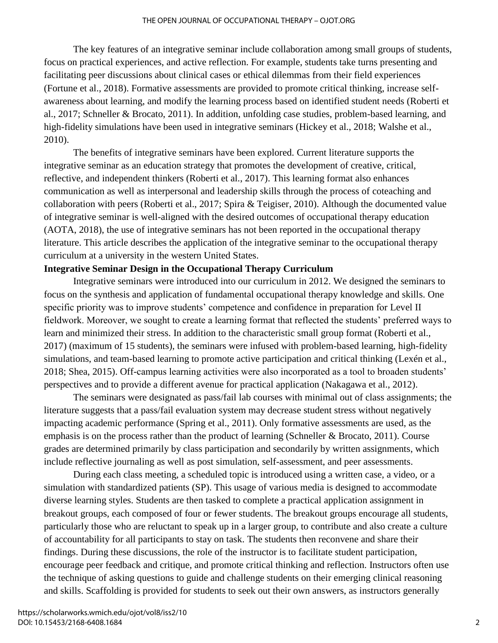The key features of an integrative seminar include collaboration among small groups of students, focus on practical experiences, and active reflection. For example, students take turns presenting and facilitating peer discussions about clinical cases or ethical dilemmas from their field experiences (Fortune et al., 2018). Formative assessments are provided to promote critical thinking, increase selfawareness about learning, and modify the learning process based on identified student needs (Roberti et al., 2017; Schneller & Brocato, 2011). In addition, unfolding case studies, problem-based learning, and high-fidelity simulations have been used in integrative seminars (Hickey et al., 2018; Walshe et al., 2010).

The benefits of integrative seminars have been explored. Current literature supports the integrative seminar as an education strategy that promotes the development of creative, critical, reflective, and independent thinkers (Roberti et al., 2017). This learning format also enhances communication as well as interpersonal and leadership skills through the process of coteaching and collaboration with peers (Roberti et al., 2017; Spira & Teigiser, 2010). Although the documented value of integrative seminar is well-aligned with the desired outcomes of occupational therapy education (AOTA, 2018), the use of integrative seminars has not been reported in the occupational therapy literature. This article describes the application of the integrative seminar to the occupational therapy curriculum at a university in the western United States.

#### **Integrative Seminar Design in the Occupational Therapy Curriculum**

Integrative seminars were introduced into our curriculum in 2012. We designed the seminars to focus on the synthesis and application of fundamental occupational therapy knowledge and skills. One specific priority was to improve students' competence and confidence in preparation for Level II fieldwork. Moreover, we sought to create a learning format that reflected the students' preferred ways to learn and minimized their stress. In addition to the characteristic small group format (Roberti et al., 2017) (maximum of 15 students), the seminars were infused with problem-based learning, high-fidelity simulations, and team-based learning to promote active participation and critical thinking (Lexén et al., 2018; Shea, 2015). Off-campus learning activities were also incorporated as a tool to broaden students' perspectives and to provide a different avenue for practical application (Nakagawa et al., 2012).

The seminars were designated as pass/fail lab courses with minimal out of class assignments; the literature suggests that a pass/fail evaluation system may decrease student stress without negatively impacting academic performance (Spring et al., 2011). Only formative assessments are used, as the emphasis is on the process rather than the product of learning (Schneller & Brocato, 2011). Course grades are determined primarily by class participation and secondarily by written assignments, which include reflective journaling as well as post simulation, self-assessment, and peer assessments.

During each class meeting, a scheduled topic is introduced using a written case, a video, or a simulation with standardized patients (SP). This usage of various media is designed to accommodate diverse learning styles. Students are then tasked to complete a practical application assignment in breakout groups, each composed of four or fewer students. The breakout groups encourage all students, particularly those who are reluctant to speak up in a larger group, to contribute and also create a culture of accountability for all participants to stay on task. The students then reconvene and share their findings. During these discussions, the role of the instructor is to facilitate student participation, encourage peer feedback and critique, and promote critical thinking and reflection. Instructors often use the technique of asking questions to guide and challenge students on their emerging clinical reasoning and skills. Scaffolding is provided for students to seek out their own answers, as instructors generally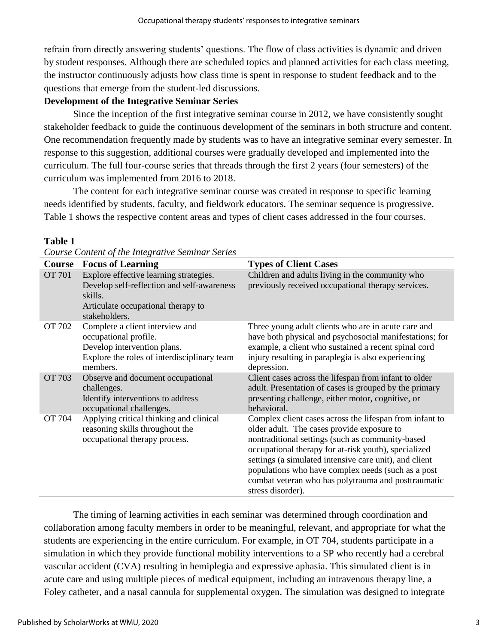refrain from directly answering students' questions. The flow of class activities is dynamic and driven by student responses. Although there are scheduled topics and planned activities for each class meeting, the instructor continuously adjusts how class time is spent in response to student feedback and to the questions that emerge from the student-led discussions.

## **Development of the Integrative Seminar Series**

Since the inception of the first integrative seminar course in 2012, we have consistently sought stakeholder feedback to guide the continuous development of the seminars in both structure and content. One recommendation frequently made by students was to have an integrative seminar every semester. In response to this suggestion, additional courses were gradually developed and implemented into the curriculum. The full four-course series that threads through the first 2 years (four semesters) of the curriculum was implemented from 2016 to 2018.

The content for each integrative seminar course was created in response to specific learning needs identified by students, faculty, and fieldwork educators. The seminar sequence is progressive. Table 1 shows the respective content areas and types of client cases addressed in the four courses.

| <b>Course</b> | <b>Focus of Learning</b>                                                                                                                               | <b>Types of Client Cases</b>                                                                                                                                                                                                                                                                                                                                                                                  |
|---------------|--------------------------------------------------------------------------------------------------------------------------------------------------------|---------------------------------------------------------------------------------------------------------------------------------------------------------------------------------------------------------------------------------------------------------------------------------------------------------------------------------------------------------------------------------------------------------------|
| <b>OT 701</b> | Explore effective learning strategies.<br>Develop self-reflection and self-awareness<br>skills.<br>Articulate occupational therapy to<br>stakeholders. | Children and adults living in the community who<br>previously received occupational therapy services.                                                                                                                                                                                                                                                                                                         |
| OT 702        | Complete a client interview and<br>occupational profile.<br>Develop intervention plans.<br>Explore the roles of interdisciplinary team<br>members.     | Three young adult clients who are in acute care and<br>have both physical and psychosocial manifestations; for<br>example, a client who sustained a recent spinal cord<br>injury resulting in paraplegia is also experiencing<br>depression.                                                                                                                                                                  |
| <b>OT 703</b> | Observe and document occupational<br>challenges.<br>Identify interventions to address<br>occupational challenges.                                      | Client cases across the lifespan from infant to older<br>adult. Presentation of cases is grouped by the primary<br>presenting challenge, either motor, cognitive, or<br>behavioral.                                                                                                                                                                                                                           |
| OT 704        | Applying critical thinking and clinical<br>reasoning skills throughout the<br>occupational therapy process.                                            | Complex client cases across the lifespan from infant to<br>older adult. The cases provide exposure to<br>nontraditional settings (such as community-based<br>occupational therapy for at-risk youth), specialized<br>settings (a simulated intensive care unit), and client<br>populations who have complex needs (such as a post<br>combat veteran who has polytrauma and posttraumatic<br>stress disorder). |

#### **Table 1**

|  | Course Content of the Integrative Seminar Series |  |
|--|--------------------------------------------------|--|

The timing of learning activities in each seminar was determined through coordination and collaboration among faculty members in order to be meaningful, relevant, and appropriate for what the students are experiencing in the entire curriculum. For example, in OT 704, students participate in a simulation in which they provide functional mobility interventions to a SP who recently had a cerebral vascular accident (CVA) resulting in hemiplegia and expressive aphasia. This simulated client is in acute care and using multiple pieces of medical equipment, including an intravenous therapy line, a Foley catheter, and a nasal cannula for supplemental oxygen. The simulation was designed to integrate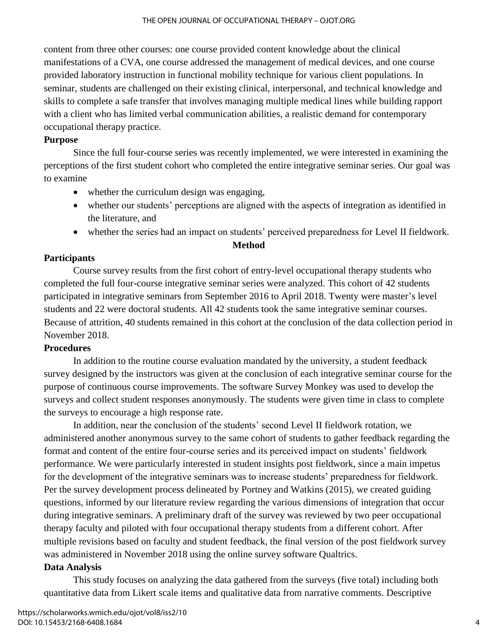content from three other courses: one course provided content knowledge about the clinical manifestations of a CVA, one course addressed the management of medical devices, and one course provided laboratory instruction in functional mobility technique for various client populations. In seminar, students are challenged on their existing clinical, interpersonal, and technical knowledge and skills to complete a safe transfer that involves managing multiple medical lines while building rapport with a client who has limited verbal communication abilities, a realistic demand for contemporary occupational therapy practice.

## **Purpose**

Since the full four-course series was recently implemented, we were interested in examining the perceptions of the first student cohort who completed the entire integrative seminar series. Our goal was to examine

- whether the curriculum design was engaging,
- whether our students' perceptions are aligned with the aspects of integration as identified in the literature, and
- whether the series had an impact on students' perceived preparedness for Level II fieldwork.

### **Method**

## **Participants**

Course survey results from the first cohort of entry-level occupational therapy students who completed the full four-course integrative seminar series were analyzed. This cohort of 42 students participated in integrative seminars from September 2016 to April 2018. Twenty were master's level students and 22 were doctoral students. All 42 students took the same integrative seminar courses. Because of attrition, 40 students remained in this cohort at the conclusion of the data collection period in November 2018.

## **Procedures**

In addition to the routine course evaluation mandated by the university, a student feedback survey designed by the instructors was given at the conclusion of each integrative seminar course for the purpose of continuous course improvements. The software Survey Monkey was used to develop the surveys and collect student responses anonymously. The students were given time in class to complete the surveys to encourage a high response rate.

In addition, near the conclusion of the students' second Level II fieldwork rotation, we administered another anonymous survey to the same cohort of students to gather feedback regarding the format and content of the entire four-course series and its perceived impact on students' fieldwork performance. We were particularly interested in student insights post fieldwork, since a main impetus for the development of the integrative seminars was to increase students' preparedness for fieldwork. Per the survey development process delineated by Portney and Watkins (2015), we created guiding questions, informed by our literature review regarding the various dimensions of integration that occur during integrative seminars. A preliminary draft of the survey was reviewed by two peer occupational therapy faculty and piloted with four occupational therapy students from a different cohort. After multiple revisions based on faculty and student feedback, the final version of the post fieldwork survey was administered in November 2018 using the online survey software Qualtrics.

## **Data Analysis**

This study focuses on analyzing the data gathered from the surveys (five total) including both quantitative data from Likert scale items and qualitative data from narrative comments. Descriptive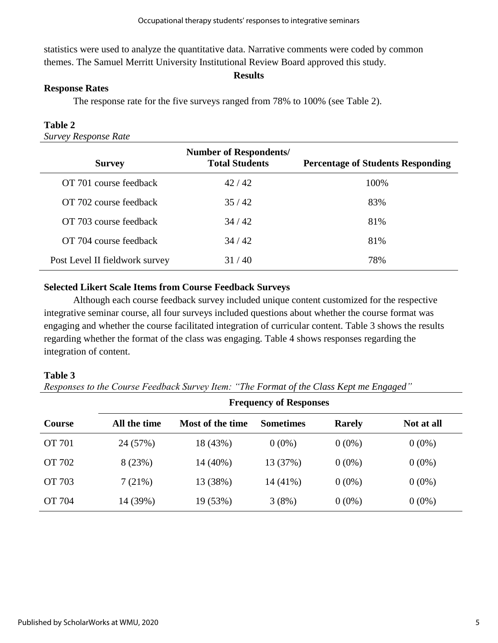statistics were used to analyze the quantitative data. Narrative comments were coded by common themes. The Samuel Merritt University Institutional Review Board approved this study.

#### **Results**

## **Response Rates**

The response rate for the five surveys ranged from 78% to 100% (see Table 2).

## **Table 2**

*Survey Response Rate*

| <b>Survey</b>                  | <b>Number of Respondents/</b><br><b>Total Students</b> | <b>Percentage of Students Responding</b> |
|--------------------------------|--------------------------------------------------------|------------------------------------------|
| OT 701 course feedback         | 42/42                                                  | 100%                                     |
| OT 702 course feedback         | 35/42                                                  | 83%                                      |
| OT 703 course feedback         | 34/42                                                  | 81%                                      |
| OT 704 course feedback         | 34/42                                                  | 81%                                      |
| Post Level II fieldwork survey | 31/40                                                  | 78%                                      |

## **Selected Likert Scale Items from Course Feedback Surveys**

Although each course feedback survey included unique content customized for the respective integrative seminar course, all four surveys included questions about whether the course format was engaging and whether the course facilitated integration of curricular content. Table 3 shows the results regarding whether the format of the class was engaging. Table 4 shows responses regarding the integration of content.

### **Table 3**

*Responses to the Course Feedback Survey Item: "The Format of the Class Kept me Engaged"*

|               | <b>Frequency of Responses</b> |                  |                  |               |            |  |
|---------------|-------------------------------|------------------|------------------|---------------|------------|--|
| <b>Course</b> | All the time                  | Most of the time | <b>Sometimes</b> | <b>Rarely</b> | Not at all |  |
| OT 701        | 24 (57%)                      | 18 (43%)         | $0(0\%)$         | $0(0\%)$      | $0(0\%)$   |  |
| OT 702        | 8(23%)                        | $14(40\%)$       | 13 (37%)         | $0(0\%)$      | $0(0\%)$   |  |
| OT 703        | 7(21%)                        | 13 (38%)         | 14 (41%)         | $0(0\%)$      | $0(0\%)$   |  |
| OT 704        | 14 (39%)                      | 19 (53%)         | 3(8%)            | $0(0\%)$      | $0(0\%)$   |  |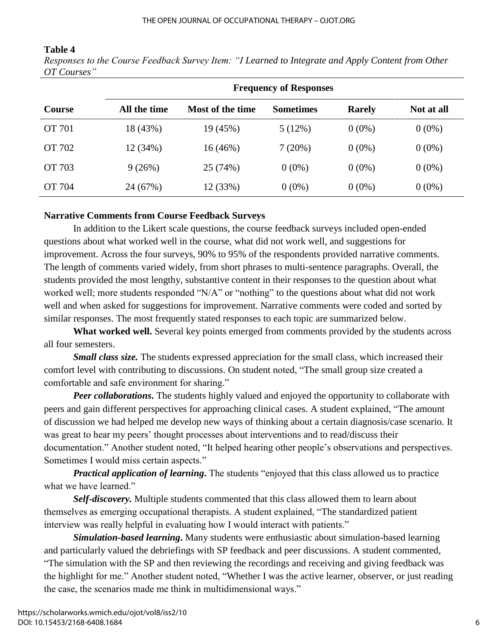## **Table 4**

*Responses to the Course Feedback Survey Item: "I Learned to Integrate and Apply Content from Other OT Courses"*

|               | <b>Frequency of Responses</b> |                  |                  |               |            |  |
|---------------|-------------------------------|------------------|------------------|---------------|------------|--|
| <b>Course</b> | All the time                  | Most of the time | <b>Sometimes</b> | <b>Rarely</b> | Not at all |  |
| OT 701        | 18 (43%)                      | 19 (45%)         | 5(12%)           | $0(0\%)$      | $0(0\%)$   |  |
| OT 702        | 12 (34%)                      | 16(46%)          | 7(20%)           | $0(0\%)$      | $0(0\%)$   |  |
| OT 703        | 9(26%)                        | 25 (74%)         | $0(0\%)$         | $0(0\%)$      | $0(0\%)$   |  |
| OT 704        | 24 (67%)                      | 12 (33%)         | $0(0\%)$         | $0(0\%)$      | $0(0\%)$   |  |

## **Narrative Comments from Course Feedback Surveys**

In addition to the Likert scale questions, the course feedback surveys included open-ended questions about what worked well in the course, what did not work well, and suggestions for improvement. Across the four surveys, 90% to 95% of the respondents provided narrative comments. The length of comments varied widely, from short phrases to multi-sentence paragraphs. Overall, the students provided the most lengthy, substantive content in their responses to the question about what worked well; more students responded "N/A" or "nothing" to the questions about what did not work well and when asked for suggestions for improvement. Narrative comments were coded and sorted by similar responses. The most frequently stated responses to each topic are summarized below.

What worked well. Several key points emerged from comments provided by the students across all four semesters.

*Small class size.* The students expressed appreciation for the small class, which increased their comfort level with contributing to discussions. On student noted, "The small group size created a comfortable and safe environment for sharing."

*Peer collaborations*. The students highly valued and enjoyed the opportunity to collaborate with peers and gain different perspectives for approaching clinical cases. A student explained, "The amount of discussion we had helped me develop new ways of thinking about a certain diagnosis/case scenario. It was great to hear my peers' thought processes about interventions and to read/discuss their documentation." Another student noted, "It helped hearing other people's observations and perspectives. Sometimes I would miss certain aspects."

*Practical application of learning***.** The students "enjoyed that this class allowed us to practice what we have learned."

*Self-discovery.* Multiple students commented that this class allowed them to learn about themselves as emerging occupational therapists. A student explained, "The standardized patient interview was really helpful in evaluating how I would interact with patients."

*Simulation-based learning***.** Many students were enthusiastic about simulation-based learning and particularly valued the debriefings with SP feedback and peer discussions. A student commented, "The simulation with the SP and then reviewing the recordings and receiving and giving feedback was the highlight for me." Another student noted, "Whether I was the active learner, observer, or just reading the case, the scenarios made me think in multidimensional ways."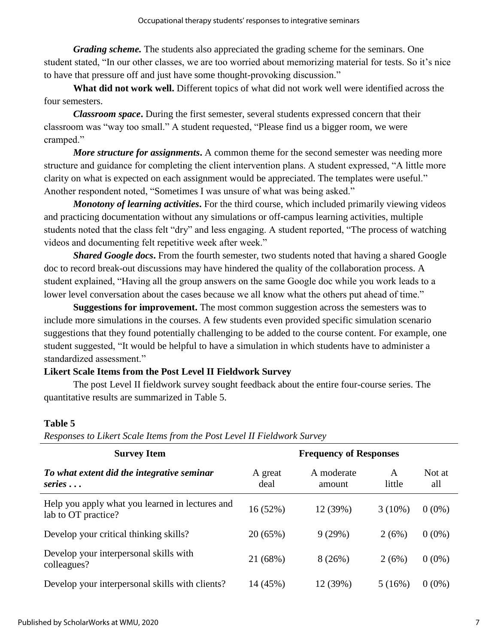*Grading scheme.* The students also appreciated the grading scheme for the seminars. One student stated, "In our other classes, we are too worried about memorizing material for tests. So it's nice to have that pressure off and just have some thought-provoking discussion."

**What did not work well.** Different topics of what did not work well were identified across the four semesters.

*Classroom space***.** During the first semester, several students expressed concern that their classroom was "way too small." A student requested, "Please find us a bigger room, we were cramped."

*More structure for assignments***.** A common theme for the second semester was needing more structure and guidance for completing the client intervention plans. A student expressed, "A little more clarity on what is expected on each assignment would be appreciated. The templates were useful." Another respondent noted, "Sometimes I was unsure of what was being asked."

*Monotony of learning activities***.** For the third course, which included primarily viewing videos and practicing documentation without any simulations or off-campus learning activities, multiple students noted that the class felt "dry" and less engaging. A student reported, "The process of watching videos and documenting felt repetitive week after week."

*Shared Google docs***.** From the fourth semester, two students noted that having a shared Google doc to record break-out discussions may have hindered the quality of the collaboration process. A student explained, "Having all the group answers on the same Google doc while you work leads to a lower level conversation about the cases because we all know what the others put ahead of time."

**Suggestions for improvement.** The most common suggestion across the semesters was to include more simulations in the courses. A few students even provided specific simulation scenario suggestions that they found potentially challenging to be added to the course content. For example, one student suggested, "It would be helpful to have a simulation in which students have to administer a standardized assessment."

## **Likert Scale Items from the Post Level II Fieldwork Survey**

The post Level II fieldwork survey sought feedback about the entire four-course series. The quantitative results are summarized in Table 5.

### **Table 5**

| <b>Survey Item</b>                                                     |                 | <b>Frequency of Responses</b> |             |               |
|------------------------------------------------------------------------|-----------------|-------------------------------|-------------|---------------|
| To what extent did the integrative seminar<br>$series \ldots$          | A great<br>deal | A moderate<br>amount          | A<br>little | Not at<br>all |
| Help you apply what you learned in lectures and<br>lab to OT practice? | 16(52%)         | 12 (39%)                      | $3(10\%)$   | $0(0\%)$      |
| Develop your critical thinking skills?                                 | 20 (65%)        | 9(29%)                        | 2(6%)       | $0(0\%)$      |
| Develop your interpersonal skills with<br>colleagues?                  | 21 (68%)        | 8(26%)                        | 2(6%)       | $0(0\%)$      |
| Develop your interpersonal skills with clients?                        | 14 (45%)        | 12 (39%)                      | 5(16%)      | $0(0\%)$      |

*Responses to Likert Scale Items from the Post Level II Fieldwork Survey*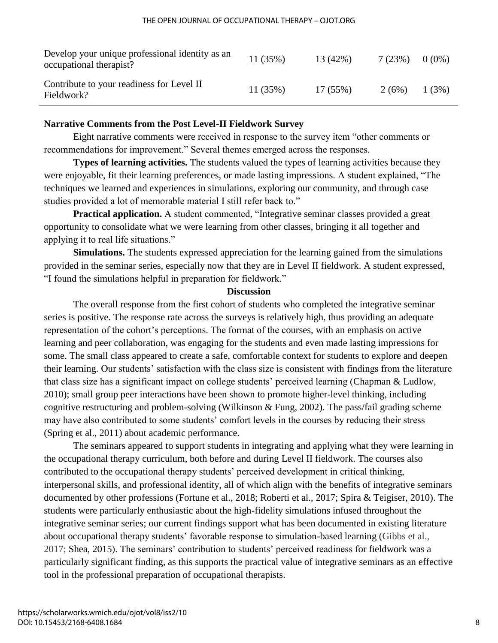| Develop your unique professional identity as an<br>occupational therapist? | 11(35%) | 13 (42%)   | 7 (23%) | $0(0\%)$ |
|----------------------------------------------------------------------------|---------|------------|---------|----------|
| Contribute to your readiness for Level II<br>Fieldwork?                    | 11(35%) | $17(55\%)$ | 2(6%)   | 1(3%)    |

## **Narrative Comments from the Post Level-II Fieldwork Survey**

Eight narrative comments were received in response to the survey item "other comments or recommendations for improvement." Several themes emerged across the responses.

**Types of learning activities.** The students valued the types of learning activities because they were enjoyable, fit their learning preferences, or made lasting impressions. A student explained, "The techniques we learned and experiences in simulations, exploring our community, and through case studies provided a lot of memorable material I still refer back to."

**Practical application.** A student commented, "Integrative seminar classes provided a great opportunity to consolidate what we were learning from other classes, bringing it all together and applying it to real life situations."

**Simulations.** The students expressed appreciation for the learning gained from the simulations provided in the seminar series, especially now that they are in Level II fieldwork. A student expressed, "I found the simulations helpful in preparation for fieldwork."

#### **Discussion**

The overall response from the first cohort of students who completed the integrative seminar series is positive. The response rate across the surveys is relatively high, thus providing an adequate representation of the cohort's perceptions. The format of the courses, with an emphasis on active learning and peer collaboration, was engaging for the students and even made lasting impressions for some. The small class appeared to create a safe, comfortable context for students to explore and deepen their learning. Our students' satisfaction with the class size is consistent with findings from the literature that class size has a significant impact on college students' perceived learning (Chapman & Ludlow, 2010); small group peer interactions have been shown to promote higher-level thinking, including cognitive restructuring and problem-solving (Wilkinson & Fung, 2002). The pass/fail grading scheme may have also contributed to some students' comfort levels in the courses by reducing their stress (Spring et al., 2011) about academic performance.

The seminars appeared to support students in integrating and applying what they were learning in the occupational therapy curriculum, both before and during Level II fieldwork. The courses also contributed to the occupational therapy students' perceived development in critical thinking, interpersonal skills, and professional identity, all of which align with the benefits of integrative seminars documented by other professions (Fortune et al., 2018; Roberti et al., 2017; Spira & Teigiser, 2010). The students were particularly enthusiastic about the high-fidelity simulations infused throughout the integrative seminar series; our current findings support what has been documented in existing literature about occupational therapy students' favorable response to simulation-based learning (Gibbs et al., 2017; Shea, 2015). The seminars' contribution to students' perceived readiness for fieldwork was a particularly significant finding, as this supports the practical value of integrative seminars as an effective tool in the professional preparation of occupational therapists.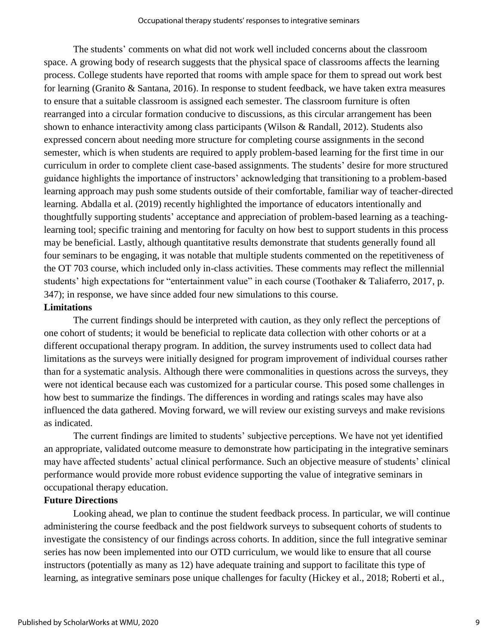The students' comments on what did not work well included concerns about the classroom space. A growing body of research suggests that the physical space of classrooms affects the learning process. College students have reported that rooms with ample space for them to spread out work best for learning (Granito & Santana, 2016). In response to student feedback, we have taken extra measures to ensure that a suitable classroom is assigned each semester. The classroom furniture is often rearranged into a circular formation conducive to discussions, as this circular arrangement has been shown to enhance interactivity among class participants (Wilson & Randall, 2012). Students also expressed concern about needing more structure for completing course assignments in the second semester, which is when students are required to apply problem-based learning for the first time in our curriculum in order to complete client case-based assignments. The students' desire for more structured guidance highlights the importance of instructors' acknowledging that transitioning to a problem-based learning approach may push some students outside of their comfortable, familiar way of teacher-directed learning. Abdalla et al. (2019) recently highlighted the importance of educators intentionally and thoughtfully supporting students' acceptance and appreciation of problem-based learning as a teachinglearning tool; specific training and mentoring for faculty on how best to support students in this process may be beneficial. Lastly, although quantitative results demonstrate that students generally found all four seminars to be engaging, it was notable that multiple students commented on the repetitiveness of the OT 703 course, which included only in-class activities. These comments may reflect the millennial students' high expectations for "entertainment value" in each course (Toothaker & Taliaferro, 2017, p. 347); in response, we have since added four new simulations to this course.

### **Limitations**

The current findings should be interpreted with caution, as they only reflect the perceptions of one cohort of students; it would be beneficial to replicate data collection with other cohorts or at a different occupational therapy program. In addition, the survey instruments used to collect data had limitations as the surveys were initially designed for program improvement of individual courses rather than for a systematic analysis. Although there were commonalities in questions across the surveys, they were not identical because each was customized for a particular course. This posed some challenges in how best to summarize the findings. The differences in wording and ratings scales may have also influenced the data gathered. Moving forward, we will review our existing surveys and make revisions as indicated.

The current findings are limited to students' subjective perceptions. We have not yet identified an appropriate, validated outcome measure to demonstrate how participating in the integrative seminars may have affected students' actual clinical performance. Such an objective measure of students' clinical performance would provide more robust evidence supporting the value of integrative seminars in occupational therapy education.

## **Future Directions**

Looking ahead, we plan to continue the student feedback process. In particular, we will continue administering the course feedback and the post fieldwork surveys to subsequent cohorts of students to investigate the consistency of our findings across cohorts. In addition, since the full integrative seminar series has now been implemented into our OTD curriculum, we would like to ensure that all course instructors (potentially as many as 12) have adequate training and support to facilitate this type of learning, as integrative seminars pose unique challenges for faculty (Hickey et al., 2018; Roberti et al.,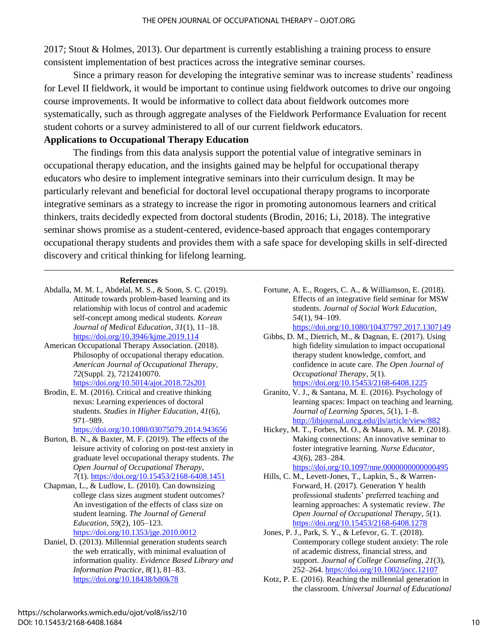2017; Stout & Holmes, 2013). Our department is currently establishing a training process to ensure consistent implementation of best practices across the integrative seminar courses.

Since a primary reason for developing the integrative seminar was to increase students' readiness for Level II fieldwork, it would be important to continue using fieldwork outcomes to drive our ongoing course improvements. It would be informative to collect data about fieldwork outcomes more systematically, such as through aggregate analyses of the Fieldwork Performance Evaluation for recent student cohorts or a survey administered to all of our current fieldwork educators.

## **Applications to Occupational Therapy Education**

The findings from this data analysis support the potential value of integrative seminars in occupational therapy education, and the insights gained may be helpful for occupational therapy educators who desire to implement integrative seminars into their curriculum design. It may be particularly relevant and beneficial for doctoral level occupational therapy programs to incorporate integrative seminars as a strategy to increase the rigor in promoting autonomous learners and critical thinkers, traits decidedly expected from doctoral students (Brodin, 2016; Li, 2018). The integrative seminar shows promise as a student-centered, evidence-based approach that engages contemporary occupational therapy students and provides them with a safe space for developing skills in self-directed discovery and critical thinking for lifelong learning.

#### **References**

- Abdalla, M. M. I., Abdelal, M. S., & Soon, S. C. (2019). Attitude towards problem-based learning and its relationship with locus of control and academic self-concept among medical students. *Korean Journal of Medical Education*, *31*(1), 11–18. <https://doi.org/10.3946/kjme.2019.114>
- American Occupational Therapy Association. (2018). Philosophy of occupational therapy education. *American Journal of Occupational Therapy*, *72*(Suppl. 2), 7212410070. <https://doi.org/10.5014/ajot.2018.72s201>
- Brodin, E. M. (2016). Critical and creative thinking nexus: Learning experiences of doctoral students. *Studies in Higher Education*, *41*(6), 971–989.

<https://doi.org/10.1080/03075079.2014.943656>

- Burton, B. N., & Baxter, M. F. (2019). The effects of the leisure activity of coloring on post-test anxiety in graduate level occupational therapy students. *The Open Journal of Occupational Therapy*, *7*(1). <https://doi.org/10.15453/2168-6408.1451>
- Chapman, L., & Ludlow, L. (2010). Can downsizing college class sizes augment student outcomes? An investigation of the effects of class size on student learning. *The Journal of General Education*, *59*(2), 105–123. <https://doi.org/10.1353/jge.2010.0012>
- Daniel, D. (2013). Millennial generation students search the web erratically, with minimal evaluation of information quality. *Evidence Based Library and Information Practice*, *8*(1), 81–83. <https://doi.org/10.18438/b80k78>

Fortune, A. E., Rogers, C. A., & Williamson, E. (2018). Effects of an integrative field seminar for MSW students. *Journal of Social Work Education*, *54*(1), 94–109.

<https://doi.org/10.1080/10437797.2017.1307149>

- Gibbs, D. M., Dietrich, M., & Dagnan, E. (2017). Using high fidelity simulation to impact occupational therapy student knowledge, comfort, and confidence in acute care. *The Open Journal of Occupational Therapy*, *5*(1). <https://doi.org/10.15453/2168-6408.1225>
- Granito, V. J., & Santana, M. E. (2016). Psychology of learning spaces: Impact on teaching and learning. *Journal of Learning Spaces*, *5*(1), 1–8. <http://libjournal.uncg.edu/jls/article/view/882>
- Hickey, M. T., Forbes, M. O., & Mauro, A. M. P. (2018). Making connections: An innovative seminar to foster integrative learning. *Nurse Educator*, *43*(6), 283–284.

<https://doi.org/10.1097/nne.0000000000000495>

Hills, C. M., Levett-Jones, T., Lapkin, S., & Warren-Forward, H. (2017). Generation Y health professional students' preferred teaching and learning approaches: A systematic review. *The Open Journal of Occupational Therapy*, *5*(1). <https://doi.org/10.15453/2168-6408.1278>

Jones, P. J., Park, S. Y., & Lefevor, G. T. (2018). Contemporary college student anxiety: The role of academic distress, financial stress, and support. *Journal of College Counseling*, *21*(3), 252–264.<https://doi.org/10.1002/jocc.12107>

Kotz, P. E. (2016). Reaching the millennial generation in the classroom. *Universal Journal of Educational*